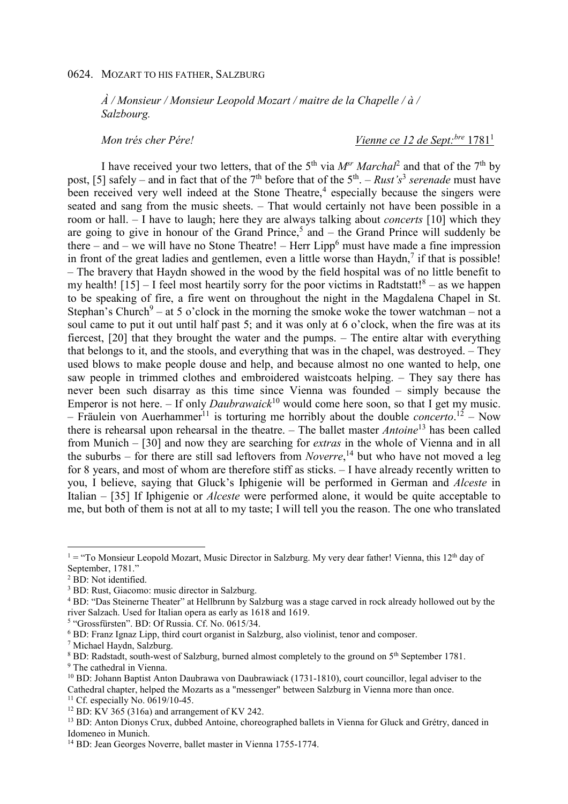## 0624. MOZART TO HIS FATHER, SALZBURG

*À / Monsieur / Monsieur Leopold Mozart / maitre de la Chapelle / à / Salzbourg.* 

*Mon trés cher Pére! Vienne ce 12 de Sept:bre* 1781<sup>1</sup>

I have received your two letters, that of the 5<sup>th</sup> via  $M^{sr}$  *Marchal*<sup>2</sup> and that of the 7<sup>th</sup> by post, [5] safely – and in fact that of the 7<sup>th</sup> before that of the 5<sup>th</sup>. – *Rust's*<sup>3</sup> serenade must have been received very well indeed at the Stone Theatre,<sup>4</sup> especially because the singers were seated and sang from the music sheets. – That would certainly not have been possible in a room or hall. – I have to laugh; here they are always talking about *concerts* [10] which they are going to give in honour of the Grand Prince,<sup>5</sup> and  $-$  the Grand Prince will suddenly be there – and – we will have no Stone Theatre! – Herr Lipp<sup>6</sup> must have made a fine impression in front of the great ladies and gentlemen, even a little worse than  $Haydn, 7$  if that is possible! – The bravery that Haydn showed in the wood by the field hospital was of no little benefit to my health!  $[15]$  – I feel most heartily sorry for the poor victims in Radtstatt!<sup>8</sup> – as we happen to be speaking of fire, a fire went on throughout the night in the Magdalena Chapel in St. Stephan's Church<sup>9</sup> – at 5 o'clock in the morning the smoke woke the tower watchman – not a soul came to put it out until half past 5; and it was only at 6 o'clock, when the fire was at its fiercest, [20] that they brought the water and the pumps. – The entire altar with everything that belongs to it, and the stools, and everything that was in the chapel, was destroyed. – They used blows to make people douse and help, and because almost no one wanted to help, one saw people in trimmed clothes and embroidered waistcoats helping. – They say there has never been such disarray as this time since Vienna was founded – simply because the Emperor is not here.  $-$  If only *Daubrawaick*<sup>10</sup> would come here soon, so that I get my music. - Fräulein von Auerhammer<sup>11</sup> is torturing me horribly about the double *concerto*.<sup>12</sup> - Now there is rehearsal upon rehearsal in the theatre. – The ballet master *Antoine*<sup>13</sup> has been called from Munich – [30] and now they are searching for *extras* in the whole of Vienna and in all the suburbs – for there are still sad leftovers from *Noverre*, <sup>14</sup> but who have not moved a leg for 8 years, and most of whom are therefore stiff as sticks. – I have already recently written to you, I believe, saying that Gluck's Iphigenie will be performed in German and *Alceste* in Italian – [35] If Iphigenie or *Alceste* were performed alone, it would be quite acceptable to me, but both of them is not at all to my taste; I will tell you the reason. The one who translated

l

<sup>&</sup>lt;sup>1</sup> = "To Monsieur Leopold Mozart, Music Director in Salzburg. My very dear father! Vienna, this 12<sup>th</sup> day of September, 1781."

<sup>2</sup> BD: Not identified.

<sup>&</sup>lt;sup>3</sup> BD: Rust, Giacomo: music director in Salzburg.

<sup>&</sup>lt;sup>4</sup> BD: "Das Steinerne Theater" at Hellbrunn by Salzburg was a stage carved in rock already hollowed out by the river Salzach. Used for Italian opera as early as 1618 and 1619.

<sup>&</sup>lt;sup>5</sup> "Grossfürsten". BD: Of Russia. Cf. No. 0615/34.

<sup>6</sup> BD: Franz Ignaz Lipp, third court organist in Salzburg, also violinist, tenor and composer.

<sup>7</sup> Michael Haydn, Salzburg.

<sup>&</sup>lt;sup>8</sup> BD: Radstadt, south-west of Salzburg, burned almost completely to the ground on 5<sup>th</sup> September 1781.

<sup>&</sup>lt;sup>9</sup> The cathedral in Vienna.

<sup>&</sup>lt;sup>10</sup> BD: Johann Baptist Anton Daubrawa von Daubrawiack (1731-1810), court councillor, legal adviser to the Cathedral chapter, helped the Mozarts as a "messenger" between Salzburg in Vienna more than once.

<sup>&</sup>lt;sup>11</sup> Cf. especially No. 0619/10-45.

<sup>&</sup>lt;sup>12</sup> BD: KV 365 (316a) and arrangement of KV 242.

<sup>&</sup>lt;sup>13</sup> BD: Anton Dionys Crux, dubbed Antoine, choreographed ballets in Vienna for Gluck and Grétry, danced in Idomeneo in Munich.

<sup>&</sup>lt;sup>14</sup> BD: Jean Georges Noverre, ballet master in Vienna 1755-1774.